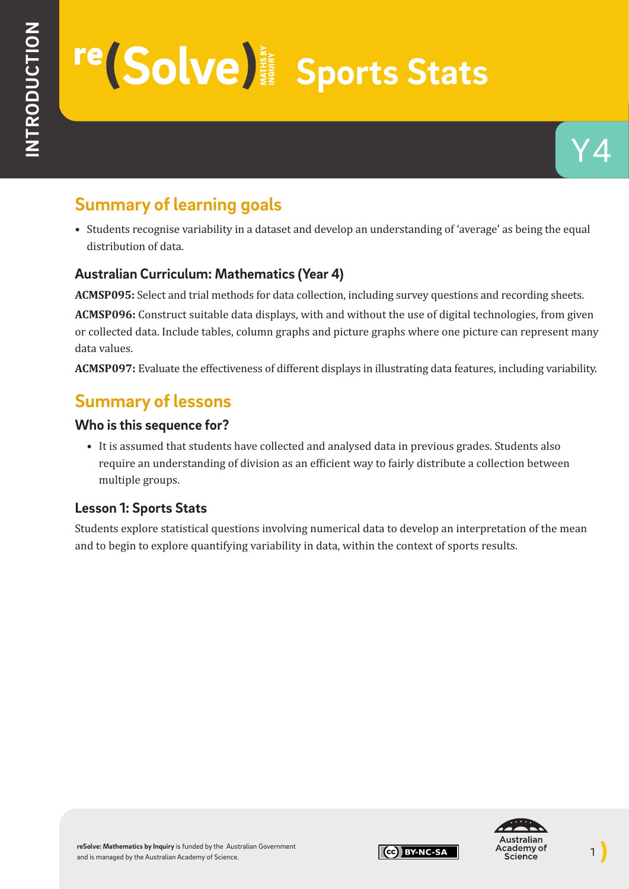# **re** Solve signal Sports Stats

# **Summary of learning goals**

• Students recognise variability in a dataset and develop an understanding of 'average' as being the equal distribution of data.

## **Australian Curriculum: Mathematics (Year 4)**

**ACMSP095:** Select and trial methods for data collection, including survey questions and recording sheets.

**ACMSP096:** Construct suitable data displays, with and without the use of digital technologies, from given or collected data. Include tables, column graphs and picture graphs where one picture can represent many data values.

**ACMSP097:** Evaluate the effectiveness of different displays in illustrating data features, including variability.

## **Summary of lessons**

### **Who is this sequence for?**

• It is assumed that students have collected and analysed data in previous grades. Students also require an understanding of division as an efficient way to fairly distribute a collection between multiple groups.

## **Lesson 1: Sports Stats**

Students explore statistical questions involving numerical data to develop an interpretation of the mean and to begin to explore quantifying variability in data, within the context of sports results.